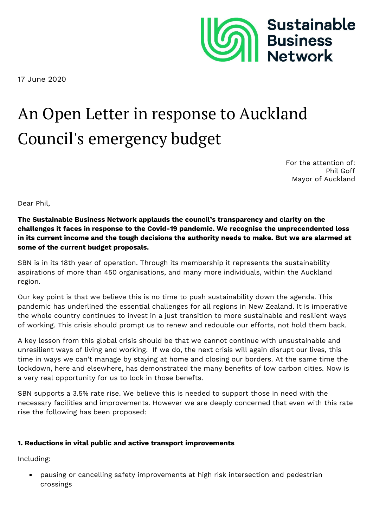

17 June 2020

## An Open Letter in response to Auckland Council's emergency budget

For the attention of: Phil Goff Mayor of Auckland

Dear Phil,

**The Sustainable Business Network applauds the council's transparency and clarity on the challenges it faces in response to the Covid-19 pandemic. We recognise the unprecendented loss in its current income and the tough decisions the authority needs to make. But we are alarmed at some of the current budget proposals.** 

SBN is in its 18th year of operation. Through its membership it represents the sustainability aspirations of more than 450 organisations, and many more individuals, within the Auckland region.

Our key point is that we believe this is no time to push sustainability down the agenda. This pandemic has underlined the essential challenges for all regions in New Zealand. It is imperative the whole country continues to invest in a just transition to more sustainable and resilient ways of working. This crisis should prompt us to renew and redouble our efforts, not hold them back.

A key lesson from this global crisis should be that we cannot continue with unsustainable and unresilient ways of living and working. If we do, the next crisis will again disrupt our lives, this time in ways we can't manage by staying at home and closing our borders. At the same time the lockdown, here and elsewhere, has demonstrated the many benefits of low carbon cities. Now is a very real opportunity for us to lock in those benefts.

SBN supports a 3.5% rate rise. We believe this is needed to support those in need with the necessary facilities and improvements. However we are deeply concerned that even with this rate rise the following has been proposed:

## **1. Reductions in vital public and active transport improvements**

Including:

 pausing or cancelling safety improvements at high risk intersection and pedestrian crossings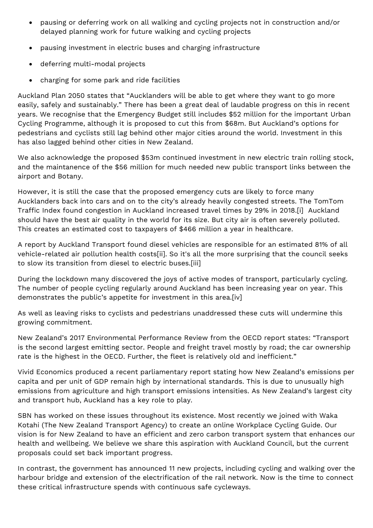- pausing or deferring work on all walking and cycling projects not in construction and/or delayed planning work for future walking and cycling projects
- pausing investment in electric buses and charging infrastructure
- deferring multi-modal projects
- charging for some park and ride facilities

Auckland Plan 2050 states that "Aucklanders will be able to get where they want to go more easily, safely and sustainably." There has been a great deal of laudable progress on this in recent years. We recognise that the Emergency Budget still includes \$52 million for the important Urban Cycling Programme, although it is proposed to cut this from \$68m. But Auckland's options for pedestrians and cyclists still lag behind other major cities around the world. Investment in this has also lagged behind other cities in New Zealand.

We also acknowledge the proposed \$53m continued investment in new electric train rolling stock, and the maintanence of the \$56 million for much needed new public transport links between the airport and Botany.

However, it is still the case that the proposed emergency cuts are likely to force many Aucklanders back into cars and on to the city's already heavily congested streets. The TomTom Traffic Index found congestion in Auckland increased travel times by 29% in 2018.[i] Auckland should have the best air quality in the world for its size. But city air is often severely polluted. This creates an estimated cost to taxpayers of \$466 million a year in healthcare.

A report by Auckland Transport found diesel vehicles are responsible for an estimated 81% of all vehicle-related air pollution health costs[ii]. So it's all the more surprising that the council seeks to slow its transition from diesel to electric buses.[iii]

During the lockdown many discovered the joys of active modes of transport, particularly cycling. The number of people cycling regularly around Auckland has been increasing year on year. This demonstrates the public's appetite for investment in this area.[iv]

As well as leaving risks to cyclists and pedestrians unaddressed these cuts will undermine this growing commitment.

New Zealand's 2017 Environmental Performance Review from the OECD report states: "Transport is the second largest emitting sector. People and freight travel mostly by road; the car ownership rate is the highest in the OECD. Further, the fleet is relatively old and inefficient."

Vivid Economics produced a recent parliamentary report stating how New Zealand's emissions per capita and per unit of GDP remain high by international standards. This is due to unusually high emissions from agriculture and high transport emissions intensities. As New Zealand's largest city and transport hub, Auckland has a key role to play.

SBN has worked on these issues throughout its existence. Most recently we joined with Waka Kotahi (The New Zealand Transport Agency) to create an online Workplace Cycling Guide. Our vision is for New Zealand to have an efficient and zero carbon transport system that enhances our health and wellbeing. We believe we share this aspiration with Auckland Council, but the current proposals could set back important progress.

In contrast, the government has announced 11 new projects, including cycling and walking over the harbour bridge and extension of the electrification of the rail network. Now is the time to connect these critical infrastructure spends with continuous safe cycleways.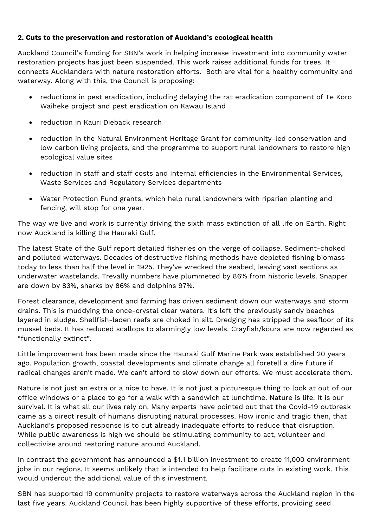## **2. Cuts to the preservation and restoration of Auckland's ecological health**

Auckland Council's funding for SBN's work in helping increase investment into community water restoration projects has just been suspended. This work raises additional funds for trees. It connects Aucklanders with nature restoration efforts. Both are vital for a healthy community and waterway. Along with this, the Council is proposing:

- reductions in pest eradication, including delaying the rat eradication component of Te Koro Waiheke project and pest eradication on Kawau Island
- reduction in Kauri Dieback research
- reduction in the Natural Environment Heritage Grant for community-led conservation and low carbon living projects, and the programme to support rural landowners to restore high ecological value sites
- reduction in staff and staff costs and internal efficiencies in the Environmental Services, Waste Services and Regulatory Services departments
- Water Protection Fund grants, which help rural landowners with riparian planting and fencing, will stop for one year.

The way we live and work is currently driving the sixth mass extinction of all life on Earth. Right now Auckland is killing the Hauraki Gulf.

The latest State of the Gulf report detailed fisheries on the verge of collapse. Sediment-choked and polluted waterways. Decades of destructive fishing methods have depleted fishing biomass today to less than half the level in 1925. They've wrecked the seabed, leaving vast sections as underwater wastelands. Trevally numbers have plummeted by 86% from historic levels. Snapper are down by 83%, sharks by 86% and dolphins 97%.

Forest clearance, development and farming has driven sediment down our waterways and storm drains. This is muddying the once-crystal clear waters. It's left the previously sandy beaches layered in sludge. Shellfish-laden reefs are choked in silt. Dredging has stripped the seafloor of its mussel beds. It has reduced scallops to alarmingly low levels. Crayfish/kōura are now regarded as "functionally extinct".

Little improvement has been made since the Hauraki Gulf Marine Park was established 20 years ago. Population growth, coastal developments and climate change all foretell a dire future if radical changes aren't made. We can't afford to slow down our efforts. We must accelerate them.

Nature is not just an extra or a nice to have. It is not just a picturesque thing to look at out of our office windows or a place to go for a walk with a sandwich at lunchtime. Nature is life. It is our survival. It is what all our lives rely on. Many experts have pointed out that the Covid-19 outbreak came as a direct result of humans disrupting natural processes. How ironic and tragic then, that Auckland's proposed response is to cut already inadequate efforts to reduce that disruption. While public awareness is high we should be stimulating community to act, volunteer and collectivise around restoring nature around Auckland.

In contrast the government has announced a \$1.1 billion investment to create 11,000 environment jobs in our regions. It seems unlikely that is intended to help facilitate cuts in existing work. This would undercut the additional value of this investment.

SBN has supported 19 community projects to restore waterways across the Auckland region in the last five years. Auckland Council has been highly supportive of these efforts, providing seed